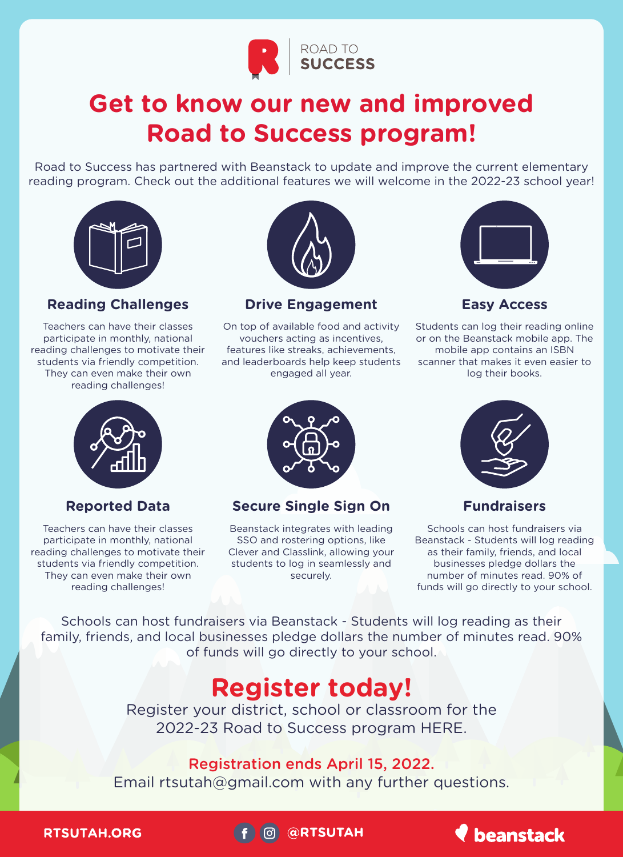

# **Get to know our new and improved Road to Success program!**

Road to Success has partnered with Beanstack to update and improve the current elementary reading program. Check out the additional features we will welcome in the 2022-23 school year!



## **Reading Challenges**

Teachers can have their classes participate in monthly, national reading challenges to motivate their students via friendly competition. They can even make their own reading challenges!



**Drive Engagement**

On top of available food and activity vouchers acting as incentives, features like streaks, achievements, and leaderboards help keep students engaged all year.



**Easy Access**

Students can log their reading online or on the Beanstack mobile app. The mobile app contains an ISBN scanner that makes it even easier to log their books.



#### **Reported Data**

Teachers can have their classes participate in monthly, national reading challenges to motivate their students via friendly competition. They can even make their own reading challenges!



**Secure Single Sign On**

Beanstack integrates with leading SSO and rostering options, like Clever and Classlink, allowing your students to log in seamlessly and securely.



### **Fundraisers**

Schools can host fundraisers via Beanstack - Students will log reading as their family, friends, and local businesses pledge dollars the number of minutes read. 90% of funds will go directly to your school.

Schools can host fundraisers via Beanstack - Students will log reading as their family, friends, and local businesses pledge dollars the number of minutes read. 90% of funds will go directly to your school.

## **Register today!**

Register your district, school or classroom for the 2022-23 Road to Success program HERE.

## Registration ends April 15, 2022.

Email rtsutah@gmail.com with any further questions.

**RTSUTAH.ORG**